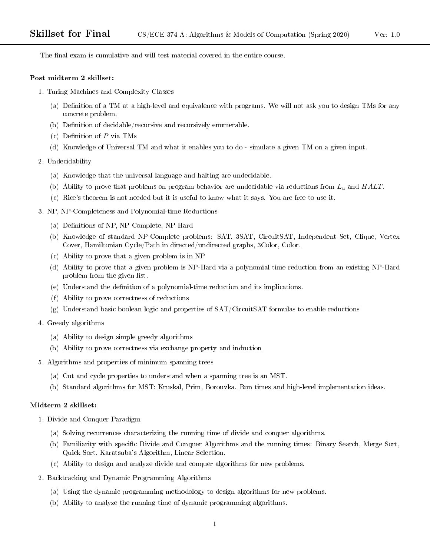The final exam is cumulative and will test material covered in the entire course.

#### Post midterm 2 skillset:

- 1. Turing Machines and Complexity Classes
	- (a) Definition of a TM at a high-level and equivalence with programs. We will not ask you to design TMs for any concrete problem.
	- (b) Definition of decidable/recursive and recursively enumerable.
	- (c) Definition of  $P$  via TMs
	- (d) Knowledge of Universal TM and what it enables you to do simulate a given TM on a given input.
- 2. Undecidability
	- (a) Knowledge that the universal language and halting are undecidable.
	- (b) Ability to prove that problems on program behavior are undecidable via reductions from  $L_u$  and  $HALT$ .
	- (c) Rice's theorem is not needed but it is useful to know what it says. You are free to use it.
- 3. NP, NP-Completeness and Polynomial-time Reductions
	- (a) Definitions of NP, NP-Complete, NP-Hard
	- (b) Knowledge of standard NP-Complete problems: SAT, 3SAT, CircuitSAT, Independent Set, Clique, Vertex Cover, Hamiltonian Cycle/Path in directed/undirected graphs, 3Color, Color.
	- (c) Ability to prove that a given problem is in NP
	- (d) Ability to prove that a given problem is NP-Hard via a polynomial time reduction from an existing NP-Hard problem from the given list.
	- (e) Understand the denition of a polynomial-time reduction and its implications.
	- (f) Ability to prove correctness of reductions
	- (g) Understand basic boolean logic and properties of SAT/CircuitSAT formulas to enable reductions
- 4. Greedy algorithms
	- (a) Ability to design simple greedy algorithms
	- (b) Ability to prove correctness via exchange property and induction
- 5. Algorithms and properties of minimum spanning trees
	- (a) Cut and cycle properties to understand when a spanning tree is an MST.
	- (b) Standard algorithms for MST: Kruskal, Prim, Borouvka. Run times and high-level implementation ideas.

### Midterm 2 skillset:

- 1. Divide and Conquer Paradigm
	- (a) Solving recurrences characterizing the running time of divide and conquer algorithms.
	- (b) Familiarity with specific Divide and Conquer Algorithms and the running times: Binary Search, Merge Sort, Quick Sort, Karatsuba's Algorithm, Linear Selection.
	- (c) Ability to design and analyze divide and conquer algorithms for new problems.
- 2. Backtracking and Dynamic Programming Algorithms
	- (a) Using the dynamic programming methodology to design algorithms for new problems.
	- (b) Ability to analyze the running time of dynamic programming algorithms.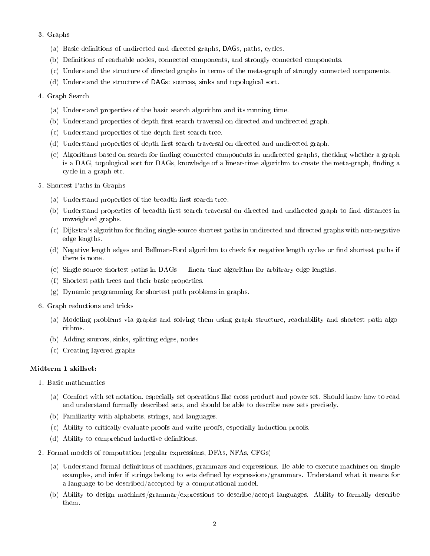## 3. Graphs

- (a) Basic definitions of undirected and directed graphs, DAGs, paths, cycles.
- (b) Definitions of reachable nodes, connected components, and strongly connected components.
- (c) Understand the structure of directed graphs in terms of the meta-graph of strongly connected components.
- (d) Understand the structure of DAGs: sources, sinks and topological sort.

#### 4. Graph Search

- (a) Understand properties of the basic search algorithm and its running time.
- (b) Understand properties of depth first search traversal on directed and undirected graph.
- $(c)$  Understand properties of the depth first search tree.
- (d) Understand properties of depth first search traversal on directed and undirected graph.
- (e) Algorithms based on search for finding connected components in undirected graphs, checking whether a graph is a DAG, topological sort for DAGs, knowledge of a linear-time algorithm to create the meta-graph, finding a cycle in a graph etc.
- 5. Shortest Paths in Graphs
	- (a) Understand properties of the breadth first search tree.
	- (b) Understand properties of breadth first search traversal on directed and undirected graph to find distances in unweighted graphs.
	- (c) Dijkstra's algorithm for nding single-source shortest paths in undirected and directed graphs with non-negative edge lengths.
	- (d) Negative length edges and Bellman-Ford algorithm to check for negative length cycles or find shortest paths if there is none.
	- (e) Single-source shortest paths in  $DAGs$  linear time algorithm for arbitrary edge lengths.
	- (f) Shortest path trees and their basic properties.
	- (g) Dynamic programming for shortest path problems in graphs.
- 6. Graph reductions and tricks
	- (a) Modeling problems via graphs and solving them using graph structure, reachability and shortest path algorithms.
	- (b) Adding sources, sinks, splitting edges, nodes
	- (c) Creating layered graphs

# Midterm 1 skillset:

- 1. Basic mathematics
	- (a) Comfort with set notation, especially set operations like cross product and power set. Should know how to read and understand formally described sets, and should be able to describe new sets precisely.
	- (b) Familiarity with alphabets, strings, and languages.
	- (c) Ability to critically evaluate proofs and write proofs, especially induction proofs.
	- (d) Ability to comprehend inductive definitions.
- 2. Formal models of computation (regular expressions, DFAs, NFAs, CFGs)
	- (a) Understand formal definitions of machines, grammars and expressions. Be able to execute machines on simple examples, and infer if strings belong to sets dened by expressions/grammars. Understand what it means for a language to be described/accepted by a computational model.
	- (b) Ability to design machines/grammar/expressions to describe/accept languages. Ability to formally describe them.